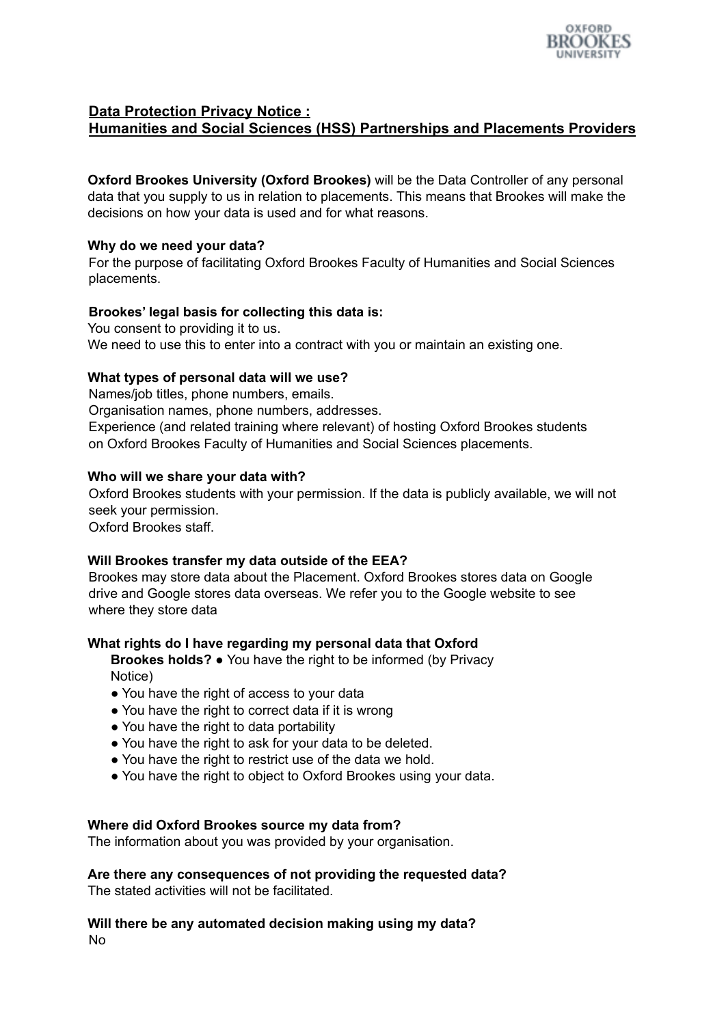

# **Data Protection Privacy Notice : Humanities and Social Sciences (HSS) Partnerships and Placements Providers**

**Oxford Brookes University (Oxford Brookes)** will be the Data Controller of any personal data that you supply to us in relation to placements. This means that Brookes will make the decisions on how your data is used and for what reasons.

# **Why do we need your data?**

For the purpose of facilitating Oxford Brookes Faculty of Humanities and Social Sciences placements.

## **Brookes' legal basis for collecting this data is:**

You consent to providing it to us. We need to use this to enter into a contract with you or maintain an existing one.

# **What types of personal data will we use?**

Names/job titles, phone numbers, emails.

Organisation names, phone numbers, addresses.

Experience (and related training where relevant) of hosting Oxford Brookes students on Oxford Brookes Faculty of Humanities and Social Sciences placements.

## **Who will we share your data with?**

Oxford Brookes students with your permission. If the data is publicly available, we will not seek your permission.

Oxford Brookes staff.

#### **Will Brookes transfer my data outside of the EEA?**

Brookes may store data about the Placement. Oxford Brookes stores data on Google drive and Google stores data overseas. We refer you to the Google website to see where they store data

#### **What rights do I have regarding my personal data that Oxford**

**Brookes holds?** ● You have the right to be informed (by Privacy Notice)

- You have the right of access to your data
- You have the right to correct data if it is wrong
- You have the right to data portability
- You have the right to ask for your data to be deleted.
- You have the right to restrict use of the data we hold.
- You have the right to object to Oxford Brookes using your data.

#### **Where did Oxford Brookes source my data from?**

The information about you was provided by your organisation.

**Are there any consequences of not providing the requested data?**

The stated activities will not be facilitated.

**Will there be any automated decision making using my data?** No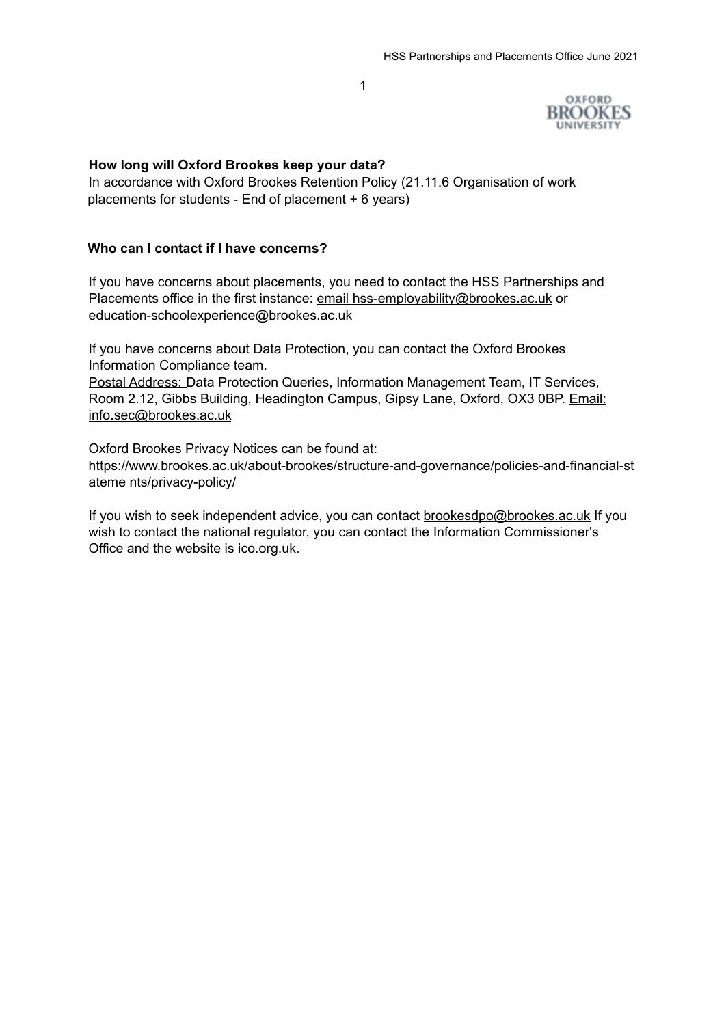1

OXFORD **BROOKES** 

## **How long will Oxford Brookes keep your data?**

In accordance with Oxford Brookes Retention Policy (21.11.6 Organisation of work placements for students - End of placement + 6 years)

## **Who can I contact if I have concerns?**

If you have concerns about placements, you need to contact the HSS Partnerships and Placements office in the first instance: email hss-employability@brookes.ac.uk or education-schoolexperience@brookes.ac.uk

If you have concerns about Data Protection, you can contact the Oxford Brookes Information Compliance team.

Postal Address: Data Protection Queries, Information Management Team, IT Services, Room 2.12, Gibbs Building, Headington Campus, Gipsy Lane, Oxford, OX3 0BP. Email: info.sec@brookes.ac.uk

Oxford Brookes Privacy Notices can be found at: https://www.brookes.ac.uk/about-brookes/structure-and-governance/policies-and-financial-st ateme nts/privacy-policy/

If you wish to seek independent advice, you can contact brookesdpo@brookes.ac.uk If you wish to contact the national regulator, you can contact the Information Commissioner's Office and the website is ico.org.uk.